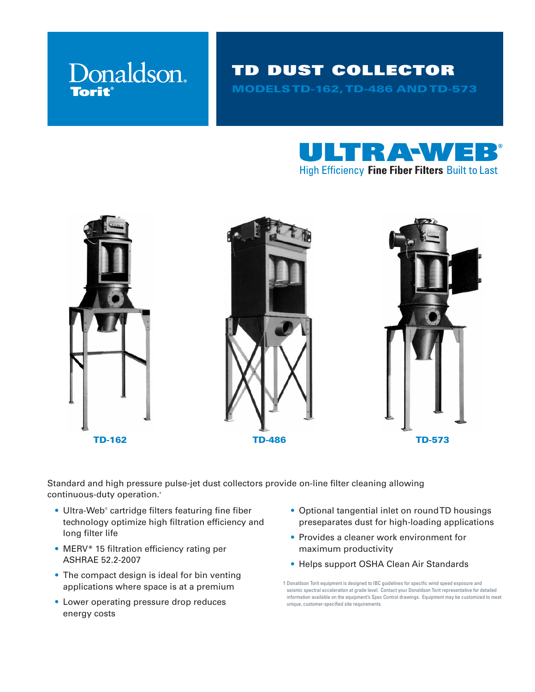

# TD DUST COLLECTOR MODELS TD-162, TD-486 AND TD-573





TD-162 TD-486 TD-573

Standard and high pressure pulse-jet dust collectors provide on-line filter cleaning allowing continuous-duty operation.**†**

- **•** Ultra-Web® cartridge filters featuring fine fiber technology optimize high filtration efficiency and long filter life
- MERV\* 15 filtration efficiency rating per ASHRAE 52.2-2007
- The compact design is ideal for bin venting applications where space is at a premium
- Lower operating pressure drop reduces energy costs
- Optional tangential inlet on round TD housings preseparates dust for high-loading applications
- Provides a cleaner work environment for maximum productivity
- Helps support OSHA Clean Air Standards

<sup>†</sup> Donaldson Torit equipment is designed to IBC guidelines for specific wind speed exposure and seismic spectral acceleration at grade level. Contact your Donaldson Torit representative for detailed information available on the equipment's Spec Control drawings. Equipment may be customized to meet unique, customer-specified site requirements.